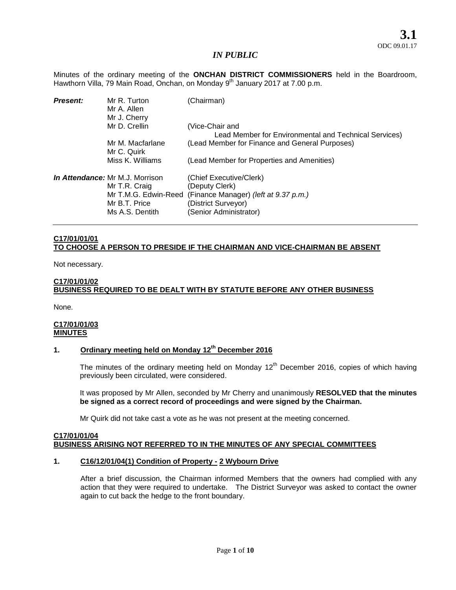Minutes of the ordinary meeting of the **ONCHAN DISTRICT COMMISSIONERS** held in the Boardroom, Hawthorn Villa, 79 Main Road, Onchan, on Monday 9<sup>th</sup> January 2017 at 7.00 p.m.

| <b>Present:</b> | Mr R. Turton<br>Mr A. Allen<br>Mr J. Cherry                                                                         | (Chairman)                                                                                                                          |
|-----------------|---------------------------------------------------------------------------------------------------------------------|-------------------------------------------------------------------------------------------------------------------------------------|
|                 | Mr D. Crellin                                                                                                       | (Vice-Chair and<br>Lead Member for Environmental and Technical Services)                                                            |
|                 | Mr M. Macfarlane<br>Mr C. Quirk                                                                                     | (Lead Member for Finance and General Purposes)                                                                                      |
|                 | Miss K. Williams                                                                                                    | (Lead Member for Properties and Amenities)                                                                                          |
|                 | <i>In Attendance:</i> Mr M.J. Morrison<br>Mr T.R. Craig<br>Mr T.M.G. Edwin-Reed<br>Mr B.T. Price<br>Ms A.S. Dentith | (Chief Executive/Clerk)<br>(Deputy Clerk)<br>(Finance Manager) (left at 9.37 p.m.)<br>(District Surveyor)<br>(Senior Administrator) |

## **C17/01/01/01 TO CHOOSE A PERSON TO PRESIDE IF THE CHAIRMAN AND VICE-CHAIRMAN BE ABSENT**

Not necessary.

## **C17/01/01/02 BUSINESS REQUIRED TO BE DEALT WITH BY STATUTE BEFORE ANY OTHER BUSINESS**

None.

### **C17/01/01/03 MINUTES**

# **1. Ordinary meeting held on Monday 12th December 2016**

The minutes of the ordinary meeting held on Monday  $12<sup>th</sup>$  December 2016, copies of which having previously been circulated, were considered.

It was proposed by Mr Allen, seconded by Mr Cherry and unanimously **RESOLVED that the minutes be signed as a correct record of proceedings and were signed by the Chairman.**

Mr Quirk did not take cast a vote as he was not present at the meeting concerned.

## **C17/01/01/04 BUSINESS ARISING NOT REFERRED TO IN THE MINUTES OF ANY SPECIAL COMMITTEES**

### **1. C16/12/01/04(1) Condition of Property - 2 Wybourn Drive**

After a brief discussion, the Chairman informed Members that the owners had complied with any action that they were required to undertake. The District Surveyor was asked to contact the owner again to cut back the hedge to the front boundary.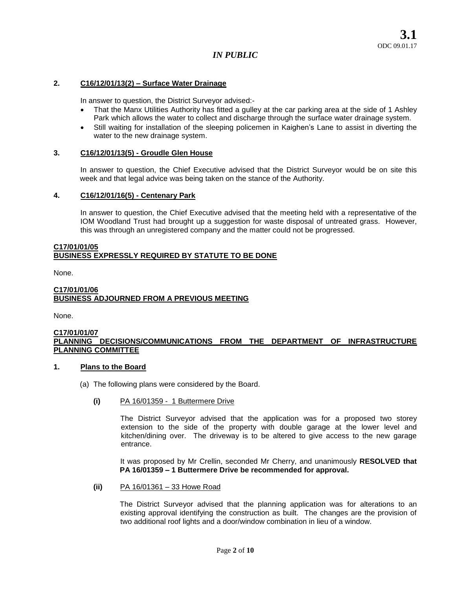### **2. C16/12/01/13(2) – Surface Water Drainage**

In answer to question, the District Surveyor advised:-

- That the Manx Utilities Authority has fitted a gulley at the car parking area at the side of 1 Ashley Park which allows the water to collect and discharge through the surface water drainage system.
- Still waiting for installation of the sleeping policemen in Kaighen's Lane to assist in diverting the water to the new drainage system.

### **3. C16/12/01/13(5) - Groudle Glen House**

In answer to question, the Chief Executive advised that the District Surveyor would be on site this week and that legal advice was being taken on the stance of the Authority.

### **4. C16/12/01/16(5) - Centenary Park**

In answer to question, the Chief Executive advised that the meeting held with a representative of the IOM Woodland Trust had brought up a suggestion for waste disposal of untreated grass. However, this was through an unregistered company and the matter could not be progressed.

#### **C17/01/01/05 BUSINESS EXPRESSLY REQUIRED BY STATUTE TO BE DONE**

None.

### **C17/01/01/06 BUSINESS ADJOURNED FROM A PREVIOUS MEETING**

None.

### **C17/01/01/07 PLANNING DECISIONS/COMMUNICATIONS FROM THE DEPARTMENT OF INFRASTRUCTURE PLANNING COMMITTEE**

### **1. Plans to the Board**

- (a) The following plans were considered by the Board.
	- **(i)** PA 16/01359 1 Buttermere Drive

The District Surveyor advised that the application was for a proposed two storey extension to the side of the property with double garage at the lower level and kitchen/dining over. The driveway is to be altered to give access to the new garage entrance.

It was proposed by Mr Crellin, seconded Mr Cherry, and unanimously **RESOLVED that PA 16/01359 – 1 Buttermere Drive be recommended for approval.** 

**(ii)** PA 16/01361 – 33 Howe Road

The District Surveyor advised that the planning application was for alterations to an existing approval identifying the construction as built. The changes are the provision of two additional roof lights and a door/window combination in lieu of a window.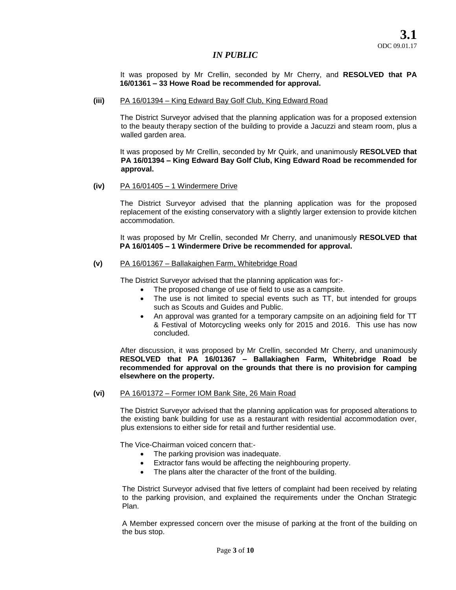It was proposed by Mr Crellin, seconded by Mr Cherry, and **RESOLVED that PA 16/01361 – 33 Howe Road be recommended for approval.** 

#### **(iii)** PA 16/01394 – King Edward Bay Golf Club, King Edward Road

The District Surveyor advised that the planning application was for a proposed extension to the beauty therapy section of the building to provide a Jacuzzi and steam room, plus a walled garden area.

It was proposed by Mr Crellin, seconded by Mr Quirk, and unanimously **RESOLVED that PA 16/01394 – King Edward Bay Golf Club, King Edward Road be recommended for approval.** 

**(iv)** PA 16/01405 – 1 Windermere Drive

The District Surveyor advised that the planning application was for the proposed replacement of the existing conservatory with a slightly larger extension to provide kitchen accommodation.

It was proposed by Mr Crellin, seconded Mr Cherry, and unanimously **RESOLVED that PA 16/01405 – 1 Windermere Drive be recommended for approval.** 

### **(v)** PA 16/01367 – Ballakaighen Farm, Whitebridge Road

The District Surveyor advised that the planning application was for:-

- The proposed change of use of field to use as a campsite.
- The use is not limited to special events such as TT, but intended for groups such as Scouts and Guides and Public.
- An approval was granted for a temporary campsite on an adjoining field for TT & Festival of Motorcycling weeks only for 2015 and 2016. This use has now concluded.

After discussion, it was proposed by Mr Crellin, seconded Mr Cherry, and unanimously **RESOLVED that PA 16/01367 – Ballakiaghen Farm, Whitebridge Road be recommended for approval on the grounds that there is no provision for camping elsewhere on the property.** 

### **(vi)** PA 16/01372 – Former IOM Bank Site, 26 Main Road

The District Surveyor advised that the planning application was for proposed alterations to the existing bank building for use as a restaurant with residential accommodation over, plus extensions to either side for retail and further residential use.

The Vice-Chairman voiced concern that:-

- The parking provision was inadequate.
- Extractor fans would be affecting the neighbouring property.
- The plans alter the character of the front of the building.

The District Surveyor advised that five letters of complaint had been received by relating to the parking provision, and explained the requirements under the Onchan Strategic Plan.

A Member expressed concern over the misuse of parking at the front of the building on the bus stop.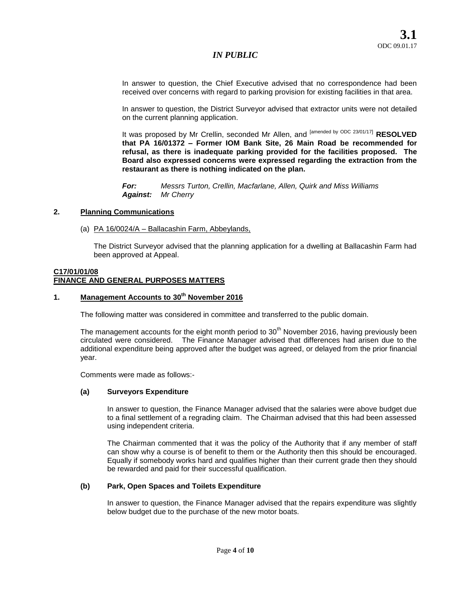In answer to question, the Chief Executive advised that no correspondence had been received over concerns with regard to parking provision for existing facilities in that area.

In answer to question, the District Surveyor advised that extractor units were not detailed on the current planning application.

It was proposed by Mr Crellin, seconded Mr Allen, and <sup>[amended by ODC 23/01/17]</sup> RESOLVED **that PA 16/01372 – Former IOM Bank Site, 26 Main Road be recommended for refusal, as there is inadequate parking provided for the facilities proposed. The Board also expressed concerns were expressed regarding the extraction from the restaurant as there is nothing indicated on the plan.**

*For: Messrs Turton, Crellin, Macfarlane, Allen, Quirk and Miss Williams Against: Mr Cherry* 

### **2. Planning Communications**

(a) PA 16/0024/A – Ballacashin Farm, Abbeylands,

The District Surveyor advised that the planning application for a dwelling at Ballacashin Farm had been approved at Appeal.

# **C17/01/01/08 FINANCE AND GENERAL PURPOSES MATTERS**

# **1. Management Accounts to 30th November 2016**

The following matter was considered in committee and transferred to the public domain.

The management accounts for the eight month period to  $30<sup>th</sup>$  November 2016, having previously been circulated were considered. The Finance Manager advised that differences had arisen due to the additional expenditure being approved after the budget was agreed, or delayed from the prior financial year.

Comments were made as follows:-

### **(a) Surveyors Expenditure**

In answer to question, the Finance Manager advised that the salaries were above budget due to a final settlement of a regrading claim. The Chairman advised that this had been assessed using independent criteria.

The Chairman commented that it was the policy of the Authority that if any member of staff can show why a course is of benefit to them or the Authority then this should be encouraged. Equally if somebody works hard and qualifies higher than their current grade then they should be rewarded and paid for their successful qualification.

### **(b) Park, Open Spaces and Toilets Expenditure**

In answer to question, the Finance Manager advised that the repairs expenditure was slightly below budget due to the purchase of the new motor boats.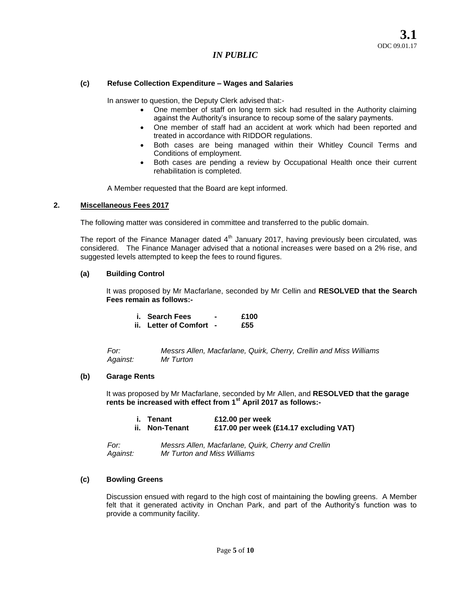# **(c) Refuse Collection Expenditure – Wages and Salaries**

In answer to question, the Deputy Clerk advised that:-

- One member of staff on long term sick had resulted in the Authority claiming against the Authority's insurance to recoup some of the salary payments.
- One member of staff had an accident at work which had been reported and treated in accordance with RIDDOR regulations.
- Both cases are being managed within their Whitley Council Terms and Conditions of employment.
- Both cases are pending a review by Occupational Health once their current rehabilitation is completed.

A Member requested that the Board are kept informed.

### **2. Miscellaneous Fees 2017**

The following matter was considered in committee and transferred to the public domain.

The report of the Finance Manager dated  $4<sup>th</sup>$  January 2017, having previously been circulated, was considered. The Finance Manager advised that a notional increases were based on a 2% rise, and suggested levels attempted to keep the fees to round figures.

### **(a) Building Control**

It was proposed by Mr Macfarlane, seconded by Mr Cellin and **RESOLVED that the Search Fees remain as follows:-**

| i. Search Fees          | £100 |
|-------------------------|------|
| ii. Letter of Comfort - | £55  |

*For: Messrs Allen, Macfarlane, Quirk, Cherry, Crellin and Miss Williams Against: Mr Turton* 

### **(b) Garage Rents**

It was proposed by Mr Macfarlane, seconded by Mr Allen, and **RESOLVED that the garage rents be increased with effect from 1st April 2017 as follows:-**

| i. Tenant      | £12.00 per week                        |
|----------------|----------------------------------------|
| ii. Non-Tenant | £17.00 per week (£14.17 excluding VAT) |

*For: Messrs Allen, Macfarlane, Quirk, Cherry and Crellin Against: Mr Turton and Miss Williams*

### **(c) Bowling Greens**

Discussion ensued with regard to the high cost of maintaining the bowling greens. A Member felt that it generated activity in Onchan Park, and part of the Authority's function was to provide a community facility.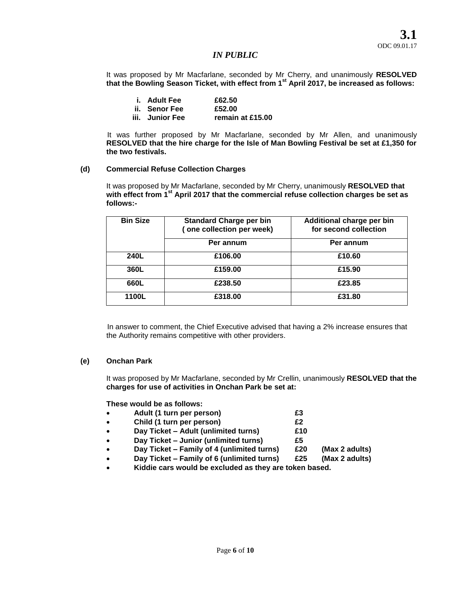It was proposed by Mr Macfarlane, seconded by Mr Cherry, and unanimously **RESOLVED that the Bowling Season Ticket, with effect from 1st April 2017, be increased as follows:** 

| i. Adult Fee    | £62.50           |
|-----------------|------------------|
| ii. Senor Fee   | £52.00           |
| iii. Junior Fee | remain at £15.00 |

It was further proposed by Mr Macfarlane, seconded by Mr Allen, and unanimously **RESOLVED that the hire charge for the Isle of Man Bowling Festival be set at £1,350 for the two festivals.** 

# **(d) Commercial Refuse Collection Charges**

It was proposed by Mr Macfarlane, seconded by Mr Cherry, unanimously **RESOLVED that with effect from 1st April 2017 that the commercial refuse collection charges be set as follows:-**

| <b>Bin Size</b> | <b>Standard Charge per bin</b><br>(one collection per week) | Additional charge per bin<br>for second collection |
|-----------------|-------------------------------------------------------------|----------------------------------------------------|
|                 | Per annum                                                   | Per annum                                          |
| 240L            | £106.00                                                     | £10.60                                             |
| 360L            | £159.00                                                     | £15.90                                             |
| 660L            | £238.50                                                     | £23.85                                             |
| 1100L           | £318.00                                                     | £31.80                                             |

In answer to comment, the Chief Executive advised that having a 2% increase ensures that the Authority remains competitive with other providers.

## **(e) Onchan Park**

It was proposed by Mr Macfarlane, seconded by Mr Crellin, unanimously **RESOLVED that the charges for use of activities in Onchan Park be set at:** 

**These would be as follows:**

- **Adult (1 turn per person) £3**
- **Child (1 turn per person) £2**
- **Day Ticket – Adult (unlimited turns) £10**
- **Day Ticket – Junior (unlimited turns) £5**
- **Day Ticket – Family of 4 (unlimited turns) £20 (Max 2 adults)**
- **Day Ticket – Family of 6 (unlimited turns) £25 (Max 2 adults)**
- **Kiddie cars would be excluded as they are token based.**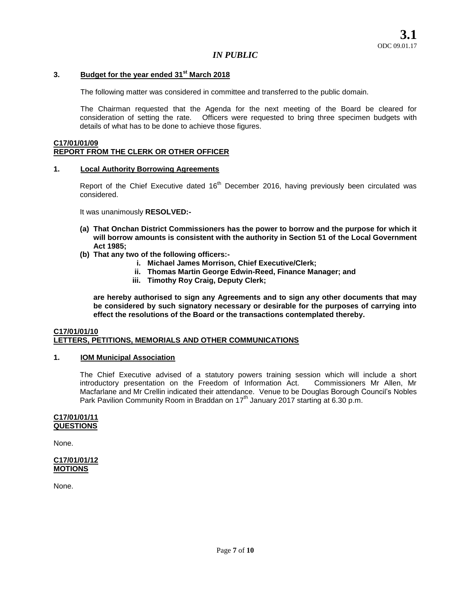## **3. Budget for the year ended 31st March 2018**

The following matter was considered in committee and transferred to the public domain.

The Chairman requested that the Agenda for the next meeting of the Board be cleared for consideration of setting the rate. Officers were requested to bring three specimen budgets with details of what has to be done to achieve those figures.

### **C17/01/01/09 REPORT FROM THE CLERK OR OTHER OFFICER**

#### **1. Local Authority Borrowing Agreements**

Report of the Chief Executive dated  $16<sup>th</sup>$  December 2016, having previously been circulated was considered.

It was unanimously **RESOLVED:-**

- **(a) That Onchan District Commissioners has the power to borrow and the purpose for which it will borrow amounts is consistent with the authority in Section 51 of the Local Government Act 1985;**
- **(b) That any two of the following officers:**
	- **i. Michael James Morrison, Chief Executive/Clerk;**
	- **ii. Thomas Martin George Edwin-Reed, Finance Manager; and**
	- **iii. Timothy Roy Craig, Deputy Clerk;**

**are hereby authorised to sign any Agreements and to sign any other documents that may be considered by such signatory necessary or desirable for the purposes of carrying into effect the resolutions of the Board or the transactions contemplated thereby.** 

### **C17/01/01/10 LETTERS, PETITIONS, MEMORIALS AND OTHER COMMUNICATIONS**

# **1. IOM Municipal Association**

The Chief Executive advised of a statutory powers training session which will include a short introductory presentation on the Freedom of Information Act. Commissioners Mr Allen, Mr Macfarlane and Mr Crellin indicated their attendance. Venue to be Douglas Borough Council's Nobles Park Pavilion Community Room in Braddan on  $17<sup>th</sup>$  January 2017 starting at 6.30 p.m.

#### **C17/01/01/11 QUESTIONS**

None.

## **C17/01/01/12 MOTIONS**

None.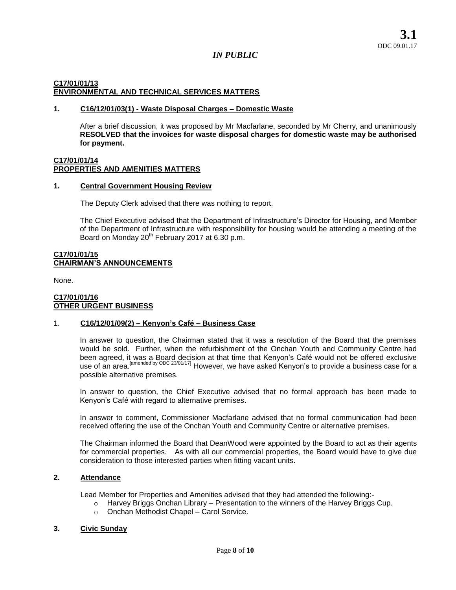# **C17/01/01/13 ENVIRONMENTAL AND TECHNICAL SERVICES MATTERS**

### **1. C16/12/01/03(1) - Waste Disposal Charges – Domestic Waste**

After a brief discussion, it was proposed by Mr Macfarlane, seconded by Mr Cherry, and unanimously **RESOLVED that the invoices for waste disposal charges for domestic waste may be authorised for payment.** 

### **C17/01/01/14 PROPERTIES AND AMENITIES MATTERS**

### **1. Central Government Housing Review**

The Deputy Clerk advised that there was nothing to report.

The Chief Executive advised that the Department of Infrastructure's Director for Housing, and Member of the Department of Infrastructure with responsibility for housing would be attending a meeting of the Board on Monday  $20^{th}$  February 2017 at 6.30 p.m.

### **C17/01/01/15 CHAIRMAN'S ANNOUNCEMENTS**

None.

### **C17/01/01/16 OTHER URGENT BUSINESS**

# 1. **C16/12/01/09(2) – Kenyon's Café – Business Case**

In answer to question, the Chairman stated that it was a resolution of the Board that the premises would be sold. Further, when the refurbishment of the Onchan Youth and Community Centre had been agreed, it was a Board decision at that time that Kenyon's Café would not be offered exclusive use of an area.<sup>[amended by ODC 23/01/17]</sup> However, we have asked Kenyon's to provide a business case for a possible alternative premises.

In answer to question, the Chief Executive advised that no formal approach has been made to Kenyon's Café with regard to alternative premises.

In answer to comment, Commissioner Macfarlane advised that no formal communication had been received offering the use of the Onchan Youth and Community Centre or alternative premises.

The Chairman informed the Board that DeanWood were appointed by the Board to act as their agents for commercial properties. As with all our commercial properties, the Board would have to give due consideration to those interested parties when fitting vacant units.

## **2. Attendance**

Lead Member for Properties and Amenities advised that they had attended the following:-

- $\circ$  Harvey Briggs Onchan Library Presentation to the winners of the Harvey Briggs Cup.
- o Onchan Methodist Chapel Carol Service.

### **3. Civic Sunday**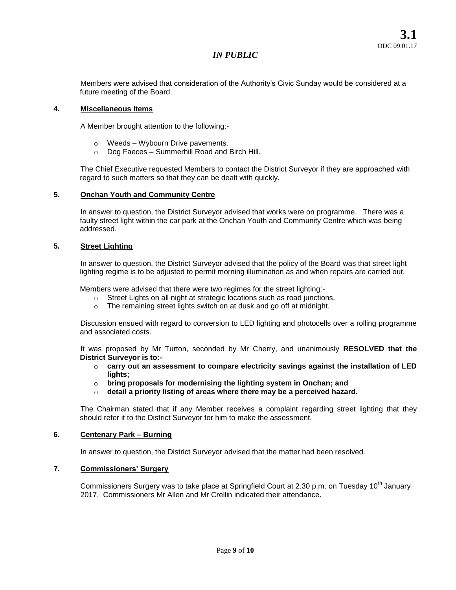Members were advised that consideration of the Authority's Civic Sunday would be considered at a future meeting of the Board.

## **4. Miscellaneous Items**

A Member brought attention to the following:-

- o Weeds Wybourn Drive pavements.
- o Dog Faeces Summerhill Road and Birch Hill.

The Chief Executive requested Members to contact the District Surveyor if they are approached with regard to such matters so that they can be dealt with quickly.

### **5. Onchan Youth and Community Centre**

In answer to question, the District Surveyor advised that works were on programme. There was a faulty street light within the car park at the Onchan Youth and Community Centre which was being addressed.

# **5. Street Lighting**

In answer to question, the District Surveyor advised that the policy of the Board was that street light lighting regime is to be adjusted to permit morning illumination as and when repairs are carried out.

Members were advised that there were two regimes for the street lighting:-

- o Street Lights on all night at strategic locations such as road junctions.
- o The remaining street lights switch on at dusk and go off at midnight.

Discussion ensued with regard to conversion to LED lighting and photocells over a rolling programme and associated costs.

It was proposed by Mr Turton, seconded by Mr Cherry, and unanimously **RESOLVED that the District Surveyor is to:-**

- o **carry out an assessment to compare electricity savings against the installation of LED lights;**
- o **bring proposals for modernising the lighting system in Onchan; and**
- o **detail a priority listing of areas where there may be a perceived hazard.**

The Chairman stated that if any Member receives a complaint regarding street lighting that they should refer it to the District Surveyor for him to make the assessment.

## **6. Centenary Park – Burning**

In answer to question, the District Surveyor advised that the matter had been resolved.

## **7. Commissioners' Surgery**

Commissioners Surgery was to take place at Springfield Court at 2.30 p.m. on Tuesday 10<sup>th</sup> January 2017. Commissioners Mr Allen and Mr Crellin indicated their attendance.